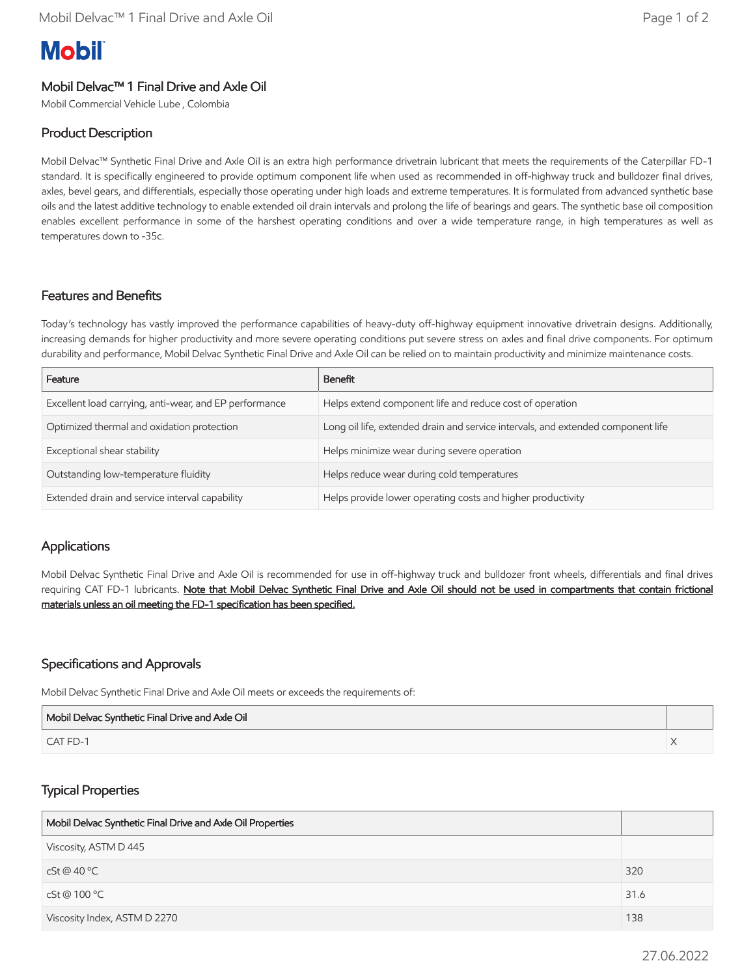# **Mobil**

## Mobil Delvac™ 1 Final Drive and Axle Oil

Mobil Commercial Vehicle Lube , Colombia

### Product Description

Mobil Delvac™ Synthetic Final Drive and Axle Oil is an extra high performance drivetrain lubricant that meets the requirements of the Caterpillar FD-1 standard. It is specifically engineered to provide optimum component life when used as recommended in off-highway truck and bulldozer final drives, axles, bevel gears, and differentials, especially those operating under high loads and extreme temperatures. It is formulated from advanced synthetic base oils and the latest additive technology to enable extended oil drain intervals and prolong the life of bearings and gears. The synthetic base oil composition enables excellent performance in some of the harshest operating conditions and over a wide temperature range, in high temperatures as well as temperatures down to -35c.

#### Features and Benefits

Today's technology has vastly improved the performance capabilities of heavy-duty off-highway equipment innovative drivetrain designs. Additionally, increasing demands for higher productivity and more severe operating conditions put severe stress on axles and final drive components. For optimum durability and performance, Mobil Delvac Synthetic Final Drive and Axle Oil can be relied on to maintain productivity and minimize maintenance costs.

| Feature                                                | Benefit                                                                          |
|--------------------------------------------------------|----------------------------------------------------------------------------------|
| Excellent load carrying, anti-wear, and EP performance | Helps extend component life and reduce cost of operation                         |
| Optimized thermal and oxidation protection             | Long oil life, extended drain and service intervals, and extended component life |
| Exceptional shear stability                            | Helps minimize wear during severe operation                                      |
| Outstanding low-temperature fluidity                   | Helps reduce wear during cold temperatures                                       |
| Extended drain and service interval capability         | Helps provide lower operating costs and higher productivity                      |

#### **Applications**

Mobil Delvac Synthetic Final Drive and Axle Oil is recommended for use in off-highway truck and bulldozer front wheels, differentials and final drives requiring CAT FD-1 lubricants. Note that Mobil Delvac Synthetic Final Drive and Axle Oil should not be used in compartments that contain frictional materials unless an oil meeting the FD-1 specification has been specified.

#### Specifications and Approvals

Mobil Delvac Synthetic Final Drive and Axle Oil meets or exceeds the requirements of:

| Mobil Delvac Synthetic Final Drive and Axle Oil |  |
|-------------------------------------------------|--|
| CAT FD-1                                        |  |

#### Typical Properties

| Mobil Delvac Synthetic Final Drive and Axle Oil Properties |      |
|------------------------------------------------------------|------|
| Viscosity, ASTM D 445                                      |      |
| cSt@40°C                                                   | 320  |
| cSt @ 100 °C                                               | 31.6 |
| Viscosity Index, ASTM D 2270                               | 138  |